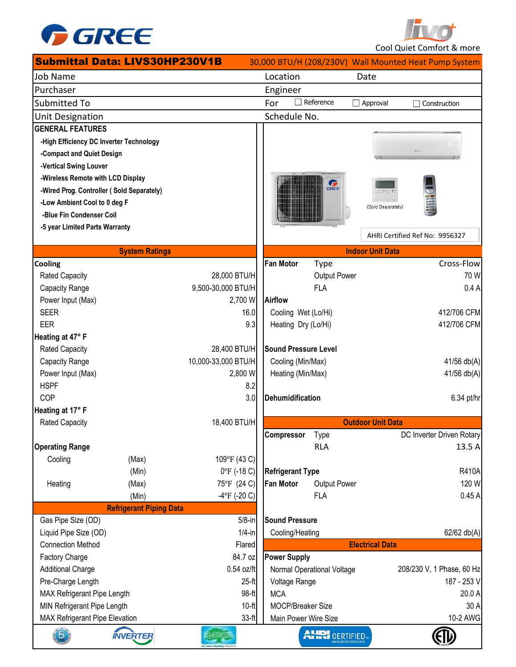

**Two**t Cool Quiet Comfort & more

|                                        | <b>Submittal Data: LIVS30HP230V1B</b>     |                       |                             |                 |                          |                                                       |
|----------------------------------------|-------------------------------------------|-----------------------|-----------------------------|-----------------|--------------------------|-------------------------------------------------------|
|                                        |                                           |                       |                             |                 |                          | 30,000 BTU/H (208/230V) Wall Mounted Heat Pump System |
| <b>Job Name</b>                        |                                           |                       | Location                    |                 | Date                     |                                                       |
| Purchaser                              |                                           |                       | Engineer                    |                 |                          |                                                       |
| Submitted To                           |                                           |                       | $\Box$ Reference<br>For     |                 | Approval                 | Construction                                          |
| Unit Designation                       |                                           |                       | Schedule No.                |                 |                          |                                                       |
| <b>GENERAL FEATURES</b>                |                                           |                       |                             |                 |                          |                                                       |
|                                        | -High Efficiency DC Inverter Technology   |                       |                             |                 |                          |                                                       |
| -Compact and Quiet Design              |                                           |                       |                             |                 |                          |                                                       |
| -Vertical Swing Louver                 |                                           |                       |                             |                 |                          |                                                       |
| -Wireless Remote with LCD Display      |                                           |                       |                             |                 |                          |                                                       |
|                                        | -Wired Prog. Controller (Sold Separately) |                       |                             | G <sub>RE</sub> |                          |                                                       |
| -Low Ambient Cool to 0 deg F           |                                           |                       |                             |                 | (Sold Separately)        |                                                       |
| -Blue Fin Condenser Coil               |                                           |                       |                             |                 |                          |                                                       |
| -5 year Limited Parts Warranty         |                                           |                       |                             |                 |                          |                                                       |
|                                        |                                           |                       |                             |                 |                          | AHRI Certified Ref No: 9956327                        |
|                                        | <b>System Ratings</b>                     |                       |                             |                 | <b>Indoor Unit Data</b>  |                                                       |
| Cooling                                |                                           |                       | <b>Fan Motor</b>            | <b>Type</b>     |                          | Cross-Flow                                            |
| <b>Rated Capacity</b>                  |                                           | 28,000 BTU/H          |                             | Output Power    |                          | 70 W                                                  |
| Capacity Range                         |                                           | 9,500-30,000 BTU/H    |                             | <b>FLA</b>      |                          | 0.4A                                                  |
| Power Input (Max)                      |                                           | 2,700 W               | <b>Airflow</b>              |                 |                          |                                                       |
| <b>SEER</b>                            |                                           | 16.0                  | Cooling Wet (Lo/Hi)         |                 |                          | 412/706 CFM                                           |
| <b>EER</b>                             |                                           | 9.3                   | Heating Dry (Lo/Hi)         |                 |                          | 412/706 CFM                                           |
| Heating at 47° F                       |                                           |                       |                             |                 |                          |                                                       |
| Rated Capacity                         |                                           | 28,400 BTU/H          | <b>Sound Pressure Level</b> |                 |                          |                                                       |
| Capacity Range                         |                                           | 10,000-33,000 BTU/H   | Cooling (Min/Max)           |                 |                          | 41/56 db(A)                                           |
| Power Input (Max)                      |                                           | 2,800 W               | Heating (Min/Max)           |                 |                          | 41/56 db(A)                                           |
| <b>HSPF</b>                            |                                           | 8.2                   |                             |                 |                          |                                                       |
| COP                                    |                                           | 3.0                   | <b>Dehumidification</b>     |                 |                          | 6.34 pt/hr                                            |
| Heating at 17° F                       |                                           |                       |                             |                 |                          |                                                       |
| <b>Rated Capacity</b>                  |                                           | 18,400 BTU/H          |                             |                 | <b>Outdoor Unit Data</b> |                                                       |
|                                        |                                           |                       | Compressor                  | Type            |                          | DC Inverter Driven Rotary                             |
| <b>Operating Range</b>                 |                                           |                       |                             | <b>RLA</b>      |                          | 13.5 A                                                |
| Cooling                                | (Max)                                     | 109°F (43 C)          |                             |                 |                          |                                                       |
|                                        | (Min)                                     | $0^{\circ}$ F (-18 C) | <b>Refrigerant Type</b>     |                 |                          | <b>R410A</b>                                          |
| Heating                                | (Max)                                     | 75°F (24 C)           | <b>Fan Motor</b>            | Output Power    |                          | 120 W                                                 |
|                                        | (Min)                                     | $-4$ °F (-20 C)       |                             | <b>FLA</b>      |                          | 0.45A                                                 |
|                                        | <b>Refrigerant Piping Data</b>            |                       |                             |                 |                          |                                                       |
| Gas Pipe Size (OD)                     |                                           | $5/8$ -in             | <b>Sound Pressure</b>       |                 |                          |                                                       |
| Liquid Pipe Size (OD)                  |                                           | $1/4$ -in             | Cooling/Heating             |                 |                          | 62/62 db(A)                                           |
| <b>Connection Method</b>               |                                           | Flared                |                             |                 | <b>Electrical Data</b>   |                                                       |
| Factory Charge                         |                                           | 84.7 oz               | <b>Power Supply</b>         |                 |                          |                                                       |
| <b>Additional Charge</b>               |                                           | 0.54 oz/ft            | Normal Operational Voltage  |                 |                          | 208/230 V, 1 Phase, 60 Hz                             |
| Pre-Charge Length                      |                                           | $25-ft$               | Voltage Range               |                 |                          | 187 - 253 V                                           |
| $98-ft$<br>MAX Refrigerant Pipe Length |                                           | <b>MCA</b>            |                             |                 | 20.0 A                   |                                                       |
| MIN Refrigerant Pipe Length<br>$10-ft$ |                                           | MOCP/Breaker Size     |                             |                 | 30 A                     |                                                       |
| MAX Refrigerant Pipe Elevation         |                                           | 33-ft                 | Main Power Wire Size        |                 |                          | 10-2 AWG                                              |
| $\widehat{5}$                          | <b>INVERTER</b>                           | <b>R41102</b>         |                             | AURI CERTIFIED. |                          |                                                       |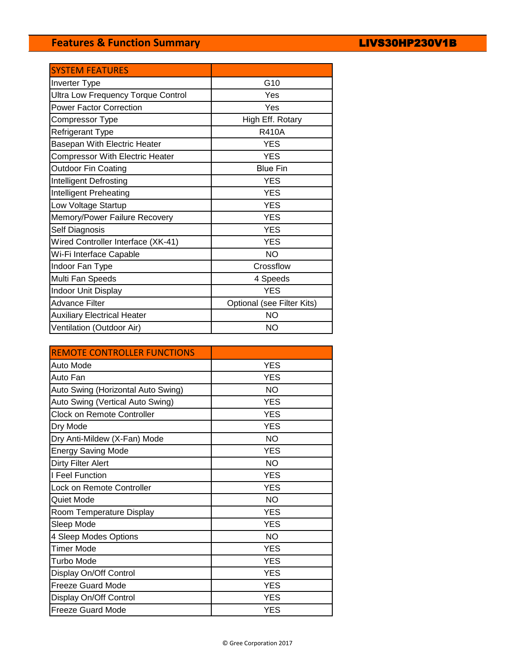# **Features & Function Summary**

| <b>SYSTEM FEATURES</b>                    |                            |
|-------------------------------------------|----------------------------|
| Inverter Type                             | G10                        |
| <b>Ultra Low Frequency Torque Control</b> | Yes                        |
| <b>Power Factor Correction</b>            | Yes                        |
| Compressor Type                           | High Eff. Rotary           |
| Refrigerant Type                          | <b>R410A</b>               |
| Basepan With Electric Heater              | <b>YES</b>                 |
| <b>Compressor With Electric Heater</b>    | <b>YES</b>                 |
| <b>Outdoor Fin Coating</b>                | <b>Blue Fin</b>            |
| Intelligent Defrosting                    | <b>YES</b>                 |
| Intelligent Preheating                    | <b>YES</b>                 |
| Low Voltage Startup                       | <b>YES</b>                 |
| Memory/Power Failure Recovery             | <b>YES</b>                 |
| Self Diagnosis                            | <b>YES</b>                 |
| Wired Controller Interface (XK-41)        | <b>YES</b>                 |
| Wi-Fi Interface Capable                   | <b>NO</b>                  |
| Indoor Fan Type                           | Crossflow                  |
| Multi Fan Speeds                          | 4 Speeds                   |
| <b>Indoor Unit Display</b>                | <b>YES</b>                 |
| <b>Advance Filter</b>                     | Optional (see Filter Kits) |
| <b>Auxiliary Electrical Heater</b>        | <b>NO</b>                  |
| Ventilation (Outdoor Air)                 | <b>NO</b>                  |

| <b>REMOTE CONTROLLER FUNCTIONS</b> |            |
|------------------------------------|------------|
| Auto Mode                          | <b>YES</b> |
| Auto Fan                           | <b>YES</b> |
| Auto Swing (Horizontal Auto Swing) | NO.        |
| Auto Swing (Vertical Auto Swing)   | <b>YES</b> |
| <b>Clock on Remote Controller</b>  | <b>YES</b> |
| Dry Mode                           | <b>YES</b> |
| Dry Anti-Mildew (X-Fan) Mode       | <b>NO</b>  |
| <b>Energy Saving Mode</b>          | <b>YES</b> |
| Dirty Filter Alert                 | <b>NO</b>  |
| I Feel Function                    | <b>YES</b> |
| Lock on Remote Controller          | <b>YES</b> |
| Quiet Mode                         | <b>NO</b>  |
| Room Temperature Display           | <b>YES</b> |
| Sleep Mode                         | <b>YES</b> |
| 4 Sleep Modes Options              | <b>NO</b>  |
| <b>Timer Mode</b>                  | <b>YES</b> |
| Turbo Mode                         | <b>YES</b> |
| Display On/Off Control             | <b>YES</b> |
| <b>Freeze Guard Mode</b>           | <b>YES</b> |
| Display On/Off Control             | <b>YES</b> |
| <b>Freeze Guard Mode</b>           | <b>YES</b> |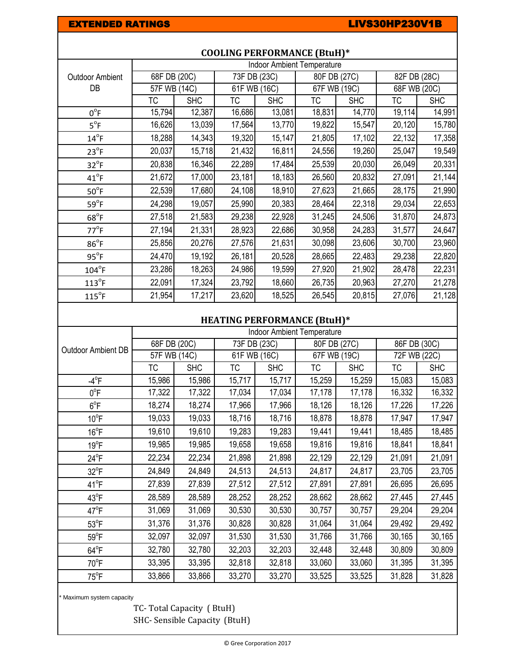### EXTENDED RATINGS **EXTENDED RATINGS LIVS30HP230V1B**

|                              | <b>Indoor Ambient Temperature</b> |            |                           |            |              |            |              |            |
|------------------------------|-----------------------------------|------------|---------------------------|------------|--------------|------------|--------------|------------|
| <b>Outdoor Ambient</b><br>DB | 68F DB (20C)                      |            | 73F DB (23C)              |            | 80F DB (27C) |            | 82F DB (28C) |            |
|                              | 57F WB (14C)                      |            | $\overline{61F}$ WB (16C) |            | 67F WB (19C) |            | 68F WB (20C) |            |
|                              | ТC                                | <b>SHC</b> | ТC                        | <b>SHC</b> | ТC           | <b>SHC</b> | ТC           | <b>SHC</b> |
| $0^{\circ}$ F                | 15,794                            | 12,387     | 16,686                    | 13,081     | 18,831       | 14,770     | 19,114       | 14,991     |
| $5^{\circ}F$                 | 16,626                            | 13,039     | 17,564                    | 13,770     | 19,822       | 15,547     | 20,120       | 15,780     |
| $14^{\circ}$ F               | 18,288                            | 14,343     | 19,320                    | 15,147     | 21,805       | 17,102     | 22,132       | 17,358     |
| $23^{\circ}F$                | 20,037                            | 15,718     | 21,432                    | 16,811     | 24,556       | 19,260     | 25,047       | 19,549     |
| $32^{\circ}F$                | 20,838                            | 16,346     | 22,289                    | 17,484     | 25,539       | 20,030     | 26,049       | 20,331     |
| $41^{\circ}$ F               | 21,672                            | 17,000     | 23,181                    | 18,183     | 26,560       | 20,832     | 27,091       | 21,144     |
| $50^{\circ}$ F               | 22,539                            | 17,680     | 24,108                    | 18,910     | 27,623       | 21,665     | 28,175       | 21,990     |
| $59^{\circ}F$                | 24,298                            | 19,057     | 25,990                    | 20,383     | 28,464       | 22,318     | 29,034       | 22,653     |
| $68^{\circ}$ F               | 27,518                            | 21,583     | 29,238                    | 22,928     | 31,245       | 24,506     | 31,870       | 24,873     |
| $77^{\circ}$ F               | 27,194                            | 21,331     | 28,923                    | 22,686     | 30,958       | 24,283     | 31,577       | 24,647     |
| $86^{\circ}$ F               | 25,856                            | 20,276     | 27,576                    | 21,631     | 30,098       | 23,606     | 30,700       | 23,960     |
| $95^{\circ}$ F               | 24,470                            | 19,192     | 26,181                    | 20,528     | 28,665       | 22,483     | 29,238       | 22,820     |
| $104^{\circ}$ F              | 23,286                            | 18,263     | 24,986                    | 19,599     | 27,920       | 21,902     | 28,478       | 22,231     |
| $113^{\circ}$ F              | 22,091                            | 17,324     | 23,792                    | 18,660     | 26,735       | 20,963     | 27,270       | 21,278     |
| $115^{\circ}$ F              | 21,954                            | 17,217     | 23,620                    | 18,525     | 26,545       | 20,815     | 27,076       | 21,128     |

## **COOLING PERFORMANCE (BtuH)\***

## **HEATING PERFORMANCE (BtuH)\***

|                     | <b>Indoor Ambient Temperature</b> |            |              |            |              |            |              |            |
|---------------------|-----------------------------------|------------|--------------|------------|--------------|------------|--------------|------------|
| Outdoor Ambient DB  | 68F DB (20C)                      |            | 73F DB (23C) |            | 80F DB (27C) |            | 86F DB (30C) |            |
|                     | 57F WB (14C)                      |            | 61F WB (16C) |            | 67F WB (19C) |            | 72F WB (22C) |            |
|                     | ТC                                | <b>SHC</b> | ТC           | <b>SHC</b> | <b>TC</b>    | <b>SHC</b> | ТC           | <b>SHC</b> |
| $-4$ <sup>o</sup> F | 15,986                            | 15,986     | 15,717       | 15,717     | 15,259       | 15,259     | 15,083       | 15,083     |
| $0^{\circ}$ F       | 17,322                            | 17,322     | 17,034       | 17,034     | 17,178       | 17,178     | 16,332       | 16,332     |
| $6^{\circ}$ F       | 18,274                            | 18,274     | 17,966       | 17,966     | 18,126       | 18,126     | 17,226       | 17,226     |
| $10^{\circ}$ F      | 19,033                            | 19,033     | 18,716       | 18,716     | 18,878       | 18,878     | 17,947       | 17,947     |
| $16^{\circ}$ F      | 19,610                            | 19,610     | 19,283       | 19,283     | 19,441       | 19,441     | 18,485       | 18,485     |
| $19^{\circ}$ F      | 19,985                            | 19,985     | 19,658       | 19,658     | 19,816       | 19,816     | 18,841       | 18,841     |
| $24^{\circ}F$       | 22,234                            | 22,234     | 21,898       | 21,898     | 22,129       | 22,129     | 21,091       | 21,091     |
| $32^{\circ}F$       | 24,849                            | 24,849     | 24,513       | 24,513     | 24,817       | 24,817     | 23,705       | 23,705     |
| $41^{\circ}$ F      | 27,839                            | 27,839     | 27,512       | 27,512     | 27,891       | 27,891     | 26,695       | 26,695     |
| $43^{\circ}F$       | 28,589                            | 28,589     | 28,252       | 28,252     | 28,662       | 28,662     | 27,445       | 27,445     |
| $47^{\circ}$ F      | 31,069                            | 31,069     | 30,530       | 30,530     | 30,757       | 30,757     | 29,204       | 29,204     |
| $53^{\circ}F$       | 31,376                            | 31,376     | 30,828       | 30,828     | 31,064       | 31,064     | 29,492       | 29,492     |
| $59^{\circ}$ F      | 32,097                            | 32,097     | 31,530       | 31,530     | 31,766       | 31,766     | 30,165       | 30,165     |
| $64^{\circ}F$       | 32,780                            | 32,780     | 32,203       | 32,203     | 32,448       | 32,448     | 30,809       | 30,809     |
| $70^{\circ}$ F      | 33,395                            | 33,395     | 32,818       | 32,818     | 33,060       | 33,060     | 31,395       | 31,395     |
| $75^{\circ}$ F      | 33,866                            | 33,866     | 33,270       | 33,270     | 33,525       | 33,525     | 31,828       | 31,828     |

\* Maximum system capacity

TC- Total Capacity ( BtuH) SHC- Sensible Capacity (BtuH)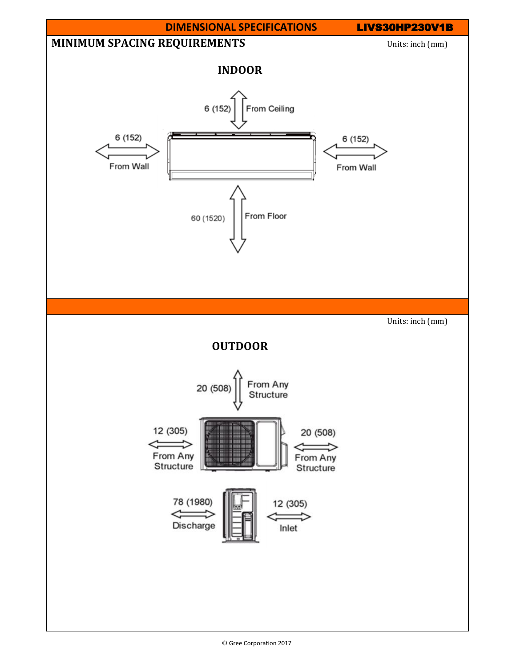